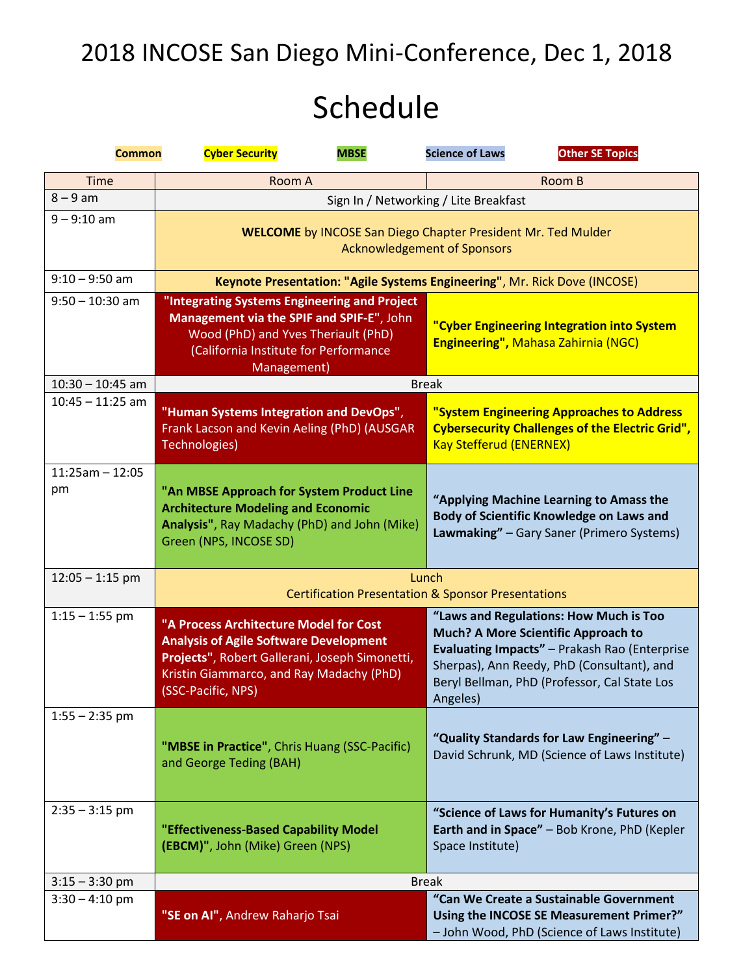# 2018 INCOSE San Diego Mini-Conference, Dec 1, 2018

# Schedule

| <b>Common</b>           | <b>MBSE</b><br><b>Cyber Security</b>                                                                                                                                                                        | <b>Science of Laws</b><br><b>Other SE Topics</b>                                                                                                                                                                                                |  |
|-------------------------|-------------------------------------------------------------------------------------------------------------------------------------------------------------------------------------------------------------|-------------------------------------------------------------------------------------------------------------------------------------------------------------------------------------------------------------------------------------------------|--|
| <b>Time</b>             | Room A                                                                                                                                                                                                      | Room B                                                                                                                                                                                                                                          |  |
| $8 - 9$ am              |                                                                                                                                                                                                             | Sign In / Networking / Lite Breakfast                                                                                                                                                                                                           |  |
| $9 - 9:10$ am           | <b>WELCOME</b> by INCOSE San Diego Chapter President Mr. Ted Mulder<br><b>Acknowledgement of Sponsors</b>                                                                                                   |                                                                                                                                                                                                                                                 |  |
| $9:10 - 9:50$ am        | Keynote Presentation: "Agile Systems Engineering", Mr. Rick Dove (INCOSE)                                                                                                                                   |                                                                                                                                                                                                                                                 |  |
| $9:50 - 10:30$ am       | "Integrating Systems Engineering and Project<br>Management via the SPIF and SPIF-E", John<br>Wood (PhD) and Yves Theriault (PhD)<br>(California Institute for Performance<br>Management)                    | "Cyber Engineering Integration into System<br><b>Engineering", Mahasa Zahirnia (NGC)</b>                                                                                                                                                        |  |
| $10:30 - 10:45$ am      | <b>Break</b>                                                                                                                                                                                                |                                                                                                                                                                                                                                                 |  |
| $10:45 - 11:25$ am      | "Human Systems Integration and DevOps",<br>Frank Lacson and Kevin Aeling (PhD) (AUSGAR<br>Technologies)                                                                                                     | "System Engineering Approaches to Address<br><b>Cybersecurity Challenges of the Electric Grid",</b><br><b>Kay Stefferud (ENERNEX)</b>                                                                                                           |  |
| $11:25am - 12:05$<br>pm | "An MBSE Approach for System Product Line<br><b>Architecture Modeling and Economic</b><br>Analysis", Ray Madachy (PhD) and John (Mike)<br>Green (NPS, INCOSE SD)                                            | "Applying Machine Learning to Amass the<br>Body of Scientific Knowledge on Laws and<br>Lawmaking" - Gary Saner (Primero Systems)                                                                                                                |  |
| $12:05 - 1:15$ pm       | Lunch<br><b>Certification Presentation &amp; Sponsor Presentations</b>                                                                                                                                      |                                                                                                                                                                                                                                                 |  |
| $1:15 - 1:55$ pm        | "A Process Architecture Model for Cost<br><b>Analysis of Agile Software Development</b><br>Projects", Robert Gallerani, Joseph Simonetti,<br>Kristin Giammarco, and Ray Madachy (PhD)<br>(SSC-Pacific, NPS) | "Laws and Regulations: How Much is Too<br><b>Much? A More Scientific Approach to</b><br>Evaluating Impacts" - Prakash Rao (Enterprise<br>Sherpas), Ann Reedy, PhD (Consultant), and<br>Beryl Bellman, PhD (Professor, Cal State Los<br>Angeles) |  |
| $1:55 - 2:35$ pm        | "MBSE in Practice", Chris Huang (SSC-Pacific)<br>and George Teding (BAH)                                                                                                                                    | "Quality Standards for Law Engineering" -<br>David Schrunk, MD (Science of Laws Institute)                                                                                                                                                      |  |
| $2:35 - 3:15$ pm        | "Effectiveness-Based Capability Model<br>(EBCM)", John (Mike) Green (NPS)                                                                                                                                   | "Science of Laws for Humanity's Futures on<br>Earth and in Space" - Bob Krone, PhD (Kepler<br>Space Institute)                                                                                                                                  |  |
| $3:15 - 3:30$ pm        | <b>Break</b>                                                                                                                                                                                                |                                                                                                                                                                                                                                                 |  |
| $3:30 - 4:10$ pm        | "SE on AI", Andrew Raharjo Tsai                                                                                                                                                                             | "Can We Create a Sustainable Government<br>Using the INCOSE SE Measurement Primer?"<br>- John Wood, PhD (Science of Laws Institute)                                                                                                             |  |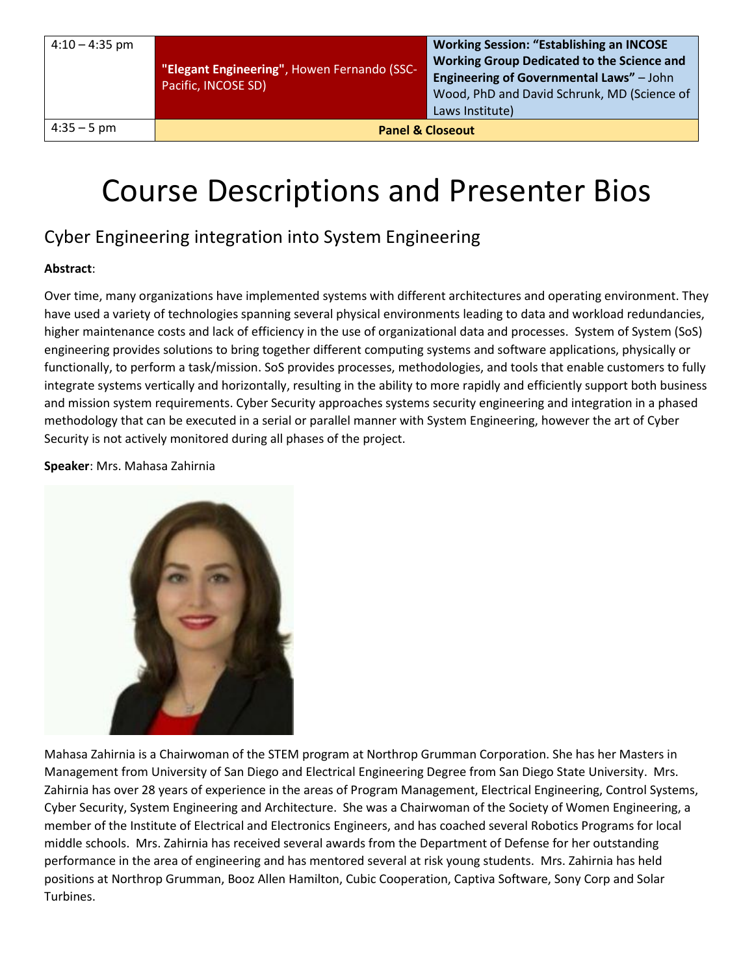| $4:10 - 4:35$ pm |  |
|------------------|--|
|                  |  |

**"Elegant Engineering"**, Howen Fernando (SSC-Pacific, INCOSE SD)

4:35 – 5 pm **Panel & Closeout**

# Course Descriptions and Presenter Bios

### Cyber Engineering integration into System Engineering

### **Abstract**:

Over time, many organizations have implemented systems with different architectures and operating environment. They have used a variety of technologies spanning several physical environments leading to data and workload redundancies, higher maintenance costs and lack of efficiency in the use of organizational data and processes. System of System (SoS) engineering provides solutions to bring together different computing systems and software applications, physically or functionally, to perform a task/mission. SoS provides processes, methodologies, and tools that enable customers to fully integrate systems vertically and horizontally, resulting in the ability to more rapidly and efficiently support both business and mission system requirements. Cyber Security approaches systems security engineering and integration in a phased methodology that can be executed in a serial or parallel manner with System Engineering, however the art of Cyber Security is not actively monitored during all phases of the project.

**Speaker**: Mrs. Mahasa Zahirnia



Mahasa Zahirnia is a Chairwoman of the STEM program at Northrop Grumman Corporation. She has her Masters in Management from University of San Diego and Electrical Engineering Degree from San Diego State University. Mrs. Zahirnia has over 28 years of experience in the areas of Program Management, Electrical Engineering, Control Systems, Cyber Security, System Engineering and Architecture. She was a Chairwoman of the Society of Women Engineering, a member of the Institute of Electrical and Electronics Engineers, and has coached several Robotics Programs for local middle schools. Mrs. Zahirnia has received several awards from the Department of Defense for her outstanding performance in the area of engineering and has mentored several at risk young students. Mrs. Zahirnia has held positions at Northrop Grumman, Booz Allen Hamilton, Cubic Cooperation, Captiva Software, Sony Corp and Solar Turbines.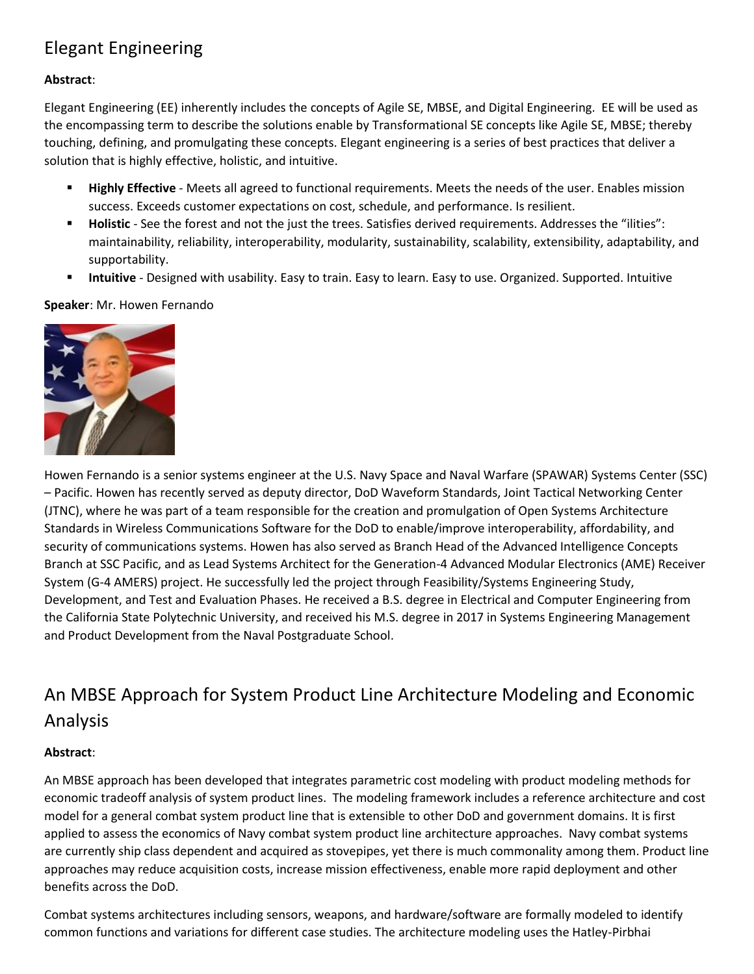## Elegant Engineering

### **Abstract**:

Elegant Engineering (EE) inherently includes the concepts of Agile SE, MBSE, and Digital Engineering. EE will be used as the encompassing term to describe the solutions enable by Transformational SE concepts like Agile SE, MBSE; thereby touching, defining, and promulgating these concepts. Elegant engineering is a series of best practices that deliver a solution that is highly effective, holistic, and intuitive.

- **Highly Effective** Meets all agreed to functional requirements. Meets the needs of the user. Enables mission success. Exceeds customer expectations on cost, schedule, and performance. Is resilient.
- **Holistic** See the forest and not the just the trees. Satisfies derived requirements. Addresses the "ilities": maintainability, reliability, interoperability, modularity, sustainability, scalability, extensibility, adaptability, and supportability.
- **E** Intuitive Designed with usability. Easy to train. Easy to learn. Easy to use. Organized. Supported. Intuitive

**Speaker**: Mr. Howen Fernando



Howen Fernando is a senior systems engineer at the U.S. Navy Space and Naval Warfare (SPAWAR) Systems Center (SSC) – Pacific. Howen has recently served as deputy director, DoD Waveform Standards, Joint Tactical Networking Center (JTNC), where he was part of a team responsible for the creation and promulgation of Open Systems Architecture Standards in Wireless Communications Software for the DoD to enable/improve interoperability, affordability, and security of communications systems. Howen has also served as Branch Head of the Advanced Intelligence Concepts Branch at SSC Pacific, and as Lead Systems Architect for the Generation-4 Advanced Modular Electronics (AME) Receiver System (G-4 AMERS) project. He successfully led the project through Feasibility/Systems Engineering Study, Development, and Test and Evaluation Phases. He received a B.S. degree in Electrical and Computer Engineering from the California State Polytechnic University, and received his M.S. degree in 2017 in Systems Engineering Management and Product Development from the Naval Postgraduate School.

# An MBSE Approach for System Product Line Architecture Modeling and Economic Analysis

### **Abstract**:

An MBSE approach has been developed that integrates parametric cost modeling with product modeling methods for economic tradeoff analysis of system product lines. The modeling framework includes a reference architecture and cost model for a general combat system product line that is extensible to other DoD and government domains. It is first applied to assess the economics of Navy combat system product line architecture approaches. Navy combat systems are currently ship class dependent and acquired as stovepipes, yet there is much commonality among them. Product line approaches may reduce acquisition costs, increase mission effectiveness, enable more rapid deployment and other benefits across the DoD.

Combat systems architectures including sensors, weapons, and hardware/software are formally modeled to identify common functions and variations for different case studies. The architecture modeling uses the Hatley-Pirbhai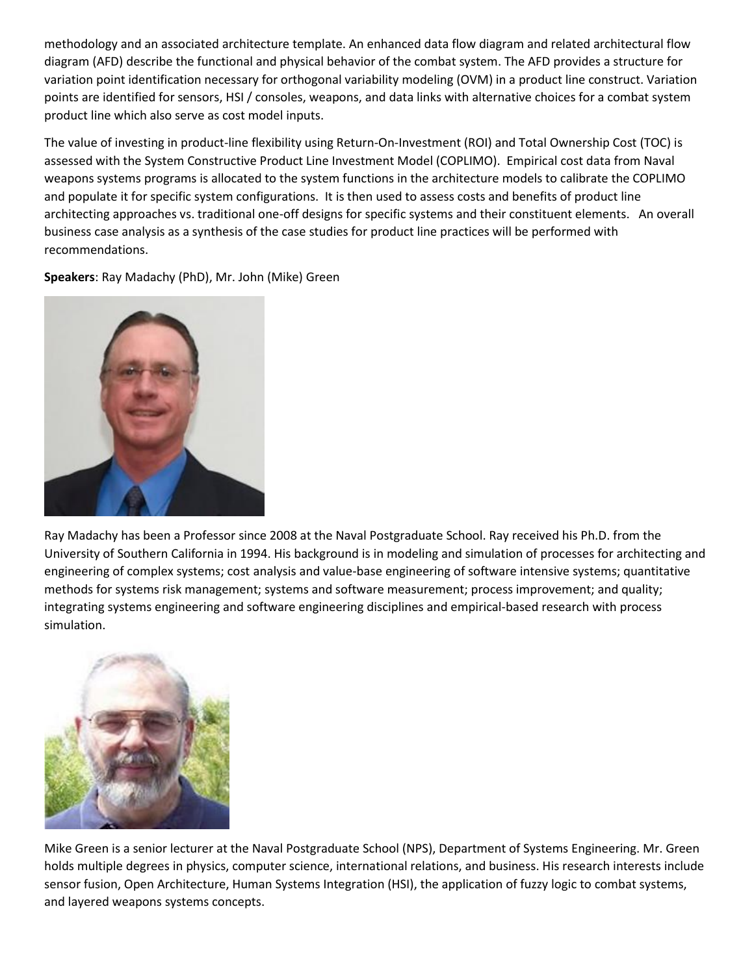methodology and an associated architecture template. An enhanced data flow diagram and related architectural flow diagram (AFD) describe the functional and physical behavior of the combat system. The AFD provides a structure for variation point identification necessary for orthogonal variability modeling (OVM) in a product line construct. Variation points are identified for sensors, HSI / consoles, weapons, and data links with alternative choices for a combat system product line which also serve as cost model inputs.

The value of investing in product-line flexibility using Return-On-Investment (ROI) and Total Ownership Cost (TOC) is assessed with the System Constructive Product Line Investment Model (COPLIMO). Empirical cost data from Naval weapons systems programs is allocated to the system functions in the architecture models to calibrate the COPLIMO and populate it for specific system configurations. It is then used to assess costs and benefits of product line architecting approaches vs. traditional one-off designs for specific systems and their constituent elements. An overall business case analysis as a synthesis of the case studies for product line practices will be performed with recommendations.

**Speakers**: Ray Madachy (PhD), Mr. John (Mike) Green



Ray Madachy has been a Professor since 2008 at the Naval Postgraduate School. Ray received his Ph.D. from the University of Southern California in 1994. His background is in modeling and simulation of processes for architecting and engineering of complex systems; cost analysis and value-base engineering of software intensive systems; quantitative methods for systems risk management; systems and software measurement; process improvement; and quality; integrating systems engineering and software engineering disciplines and empirical-based research with process simulation.



Mike Green is a senior lecturer at the Naval Postgraduate School (NPS), Department of Systems Engineering. Mr. Green holds multiple degrees in physics, computer science, international relations, and business. His research interests include sensor fusion, Open Architecture, Human Systems Integration (HSI), the application of fuzzy logic to combat systems, and layered weapons systems concepts.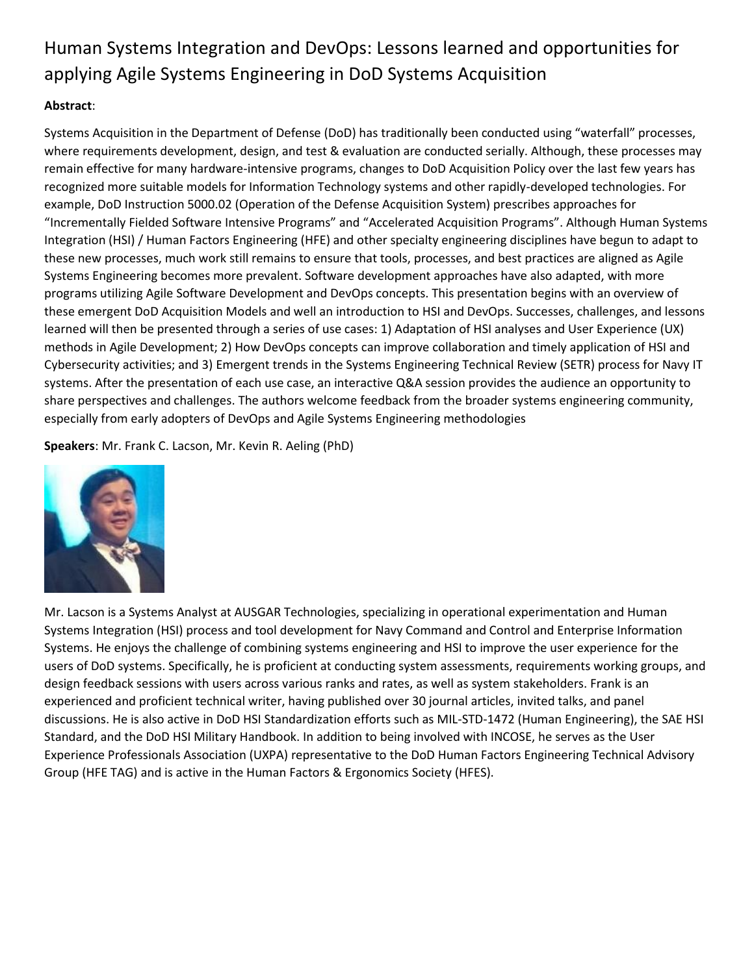# Human Systems Integration and DevOps: Lessons learned and opportunities for applying Agile Systems Engineering in DoD Systems Acquisition

### **Abstract**:

Systems Acquisition in the Department of Defense (DoD) has traditionally been conducted using "waterfall" processes, where requirements development, design, and test & evaluation are conducted serially. Although, these processes may remain effective for many hardware-intensive programs, changes to DoD Acquisition Policy over the last few years has recognized more suitable models for Information Technology systems and other rapidly-developed technologies. For example, DoD Instruction 5000.02 (Operation of the Defense Acquisition System) prescribes approaches for "Incrementally Fielded Software Intensive Programs" and "Accelerated Acquisition Programs". Although Human Systems Integration (HSI) / Human Factors Engineering (HFE) and other specialty engineering disciplines have begun to adapt to these new processes, much work still remains to ensure that tools, processes, and best practices are aligned as Agile Systems Engineering becomes more prevalent. Software development approaches have also adapted, with more programs utilizing Agile Software Development and DevOps concepts. This presentation begins with an overview of these emergent DoD Acquisition Models and well an introduction to HSI and DevOps. Successes, challenges, and lessons learned will then be presented through a series of use cases: 1) Adaptation of HSI analyses and User Experience (UX) methods in Agile Development; 2) How DevOps concepts can improve collaboration and timely application of HSI and Cybersecurity activities; and 3) Emergent trends in the Systems Engineering Technical Review (SETR) process for Navy IT systems. After the presentation of each use case, an interactive Q&A session provides the audience an opportunity to share perspectives and challenges. The authors welcome feedback from the broader systems engineering community, especially from early adopters of DevOps and Agile Systems Engineering methodologies

**Speakers**: Mr. Frank C. Lacson, Mr. Kevin R. Aeling (PhD)



Mr. Lacson is a Systems Analyst at AUSGAR Technologies, specializing in operational experimentation and Human Systems Integration (HSI) process and tool development for Navy Command and Control and Enterprise Information Systems. He enjoys the challenge of combining systems engineering and HSI to improve the user experience for the users of DoD systems. Specifically, he is proficient at conducting system assessments, requirements working groups, and design feedback sessions with users across various ranks and rates, as well as system stakeholders. Frank is an experienced and proficient technical writer, having published over 30 journal articles, invited talks, and panel discussions. He is also active in DoD HSI Standardization efforts such as MIL-STD-1472 (Human Engineering), the SAE HSI Standard, and the DoD HSI Military Handbook. In addition to being involved with INCOSE, he serves as the User Experience Professionals Association (UXPA) representative to the DoD Human Factors Engineering Technical Advisory Group (HFE TAG) and is active in the Human Factors & Ergonomics Society (HFES).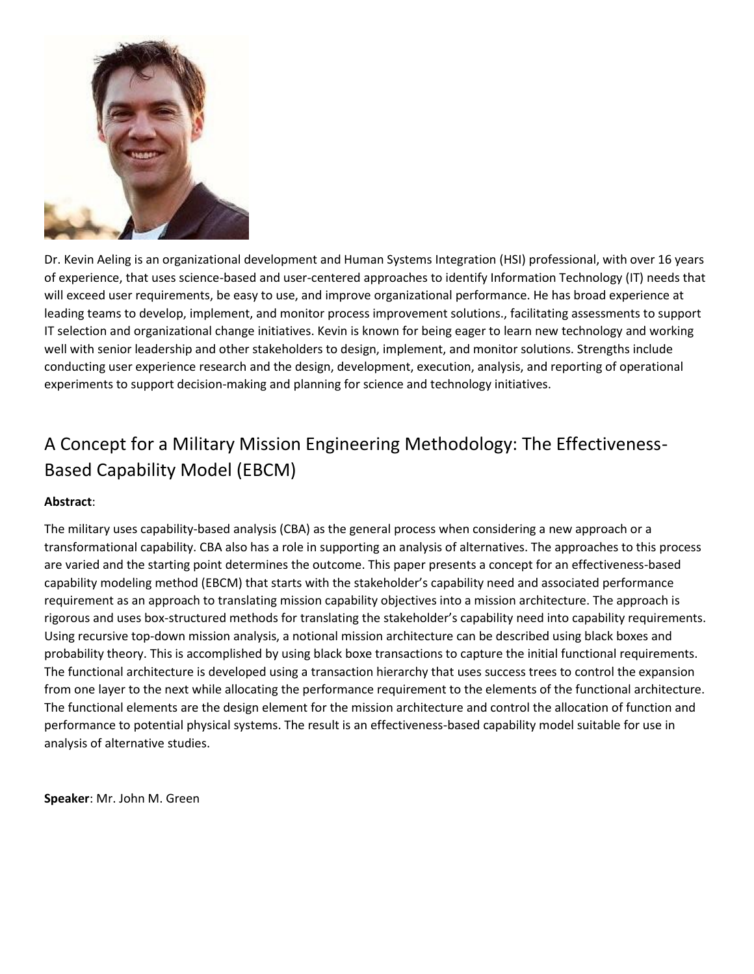

Dr. Kevin Aeling is an organizational development and Human Systems Integration (HSI) professional, with over 16 years of experience, that uses science-based and user-centered approaches to identify Information Technology (IT) needs that will exceed user requirements, be easy to use, and improve organizational performance. He has broad experience at leading teams to develop, implement, and monitor process improvement solutions., facilitating assessments to support IT selection and organizational change initiatives. Kevin is known for being eager to learn new technology and working well with senior leadership and other stakeholders to design, implement, and monitor solutions. Strengths include conducting user experience research and the design, development, execution, analysis, and reporting of operational experiments to support decision-making and planning for science and technology initiatives.

# A Concept for a Military Mission Engineering Methodology: The Effectiveness-Based Capability Model (EBCM)

### **Abstract**:

The military uses capability-based analysis (CBA) as the general process when considering a new approach or a transformational capability. CBA also has a role in supporting an analysis of alternatives. The approaches to this process are varied and the starting point determines the outcome. This paper presents a concept for an effectiveness-based capability modeling method (EBCM) that starts with the stakeholder's capability need and associated performance requirement as an approach to translating mission capability objectives into a mission architecture. The approach is rigorous and uses box-structured methods for translating the stakeholder's capability need into capability requirements. Using recursive top-down mission analysis, a notional mission architecture can be described using black boxes and probability theory. This is accomplished by using black boxe transactions to capture the initial functional requirements. The functional architecture is developed using a transaction hierarchy that uses success trees to control the expansion from one layer to the next while allocating the performance requirement to the elements of the functional architecture. The functional elements are the design element for the mission architecture and control the allocation of function and performance to potential physical systems. The result is an effectiveness-based capability model suitable for use in analysis of alternative studies.

**Speaker**: Mr. John M. Green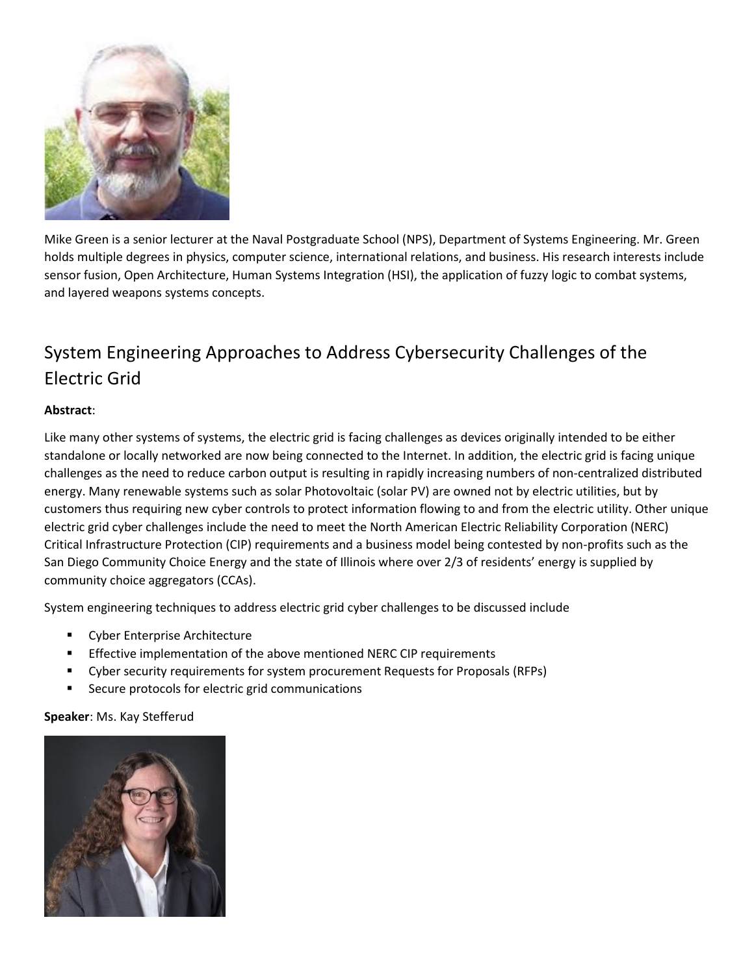

Mike Green is a senior lecturer at the Naval Postgraduate School (NPS), Department of Systems Engineering. Mr. Green holds multiple degrees in physics, computer science, international relations, and business. His research interests include sensor fusion, Open Architecture, Human Systems Integration (HSI), the application of fuzzy logic to combat systems, and layered weapons systems concepts.

# System Engineering Approaches to Address Cybersecurity Challenges of the Electric Grid

### **Abstract**:

Like many other systems of systems, the electric grid is facing challenges as devices originally intended to be either standalone or locally networked are now being connected to the Internet. In addition, the electric grid is facing unique challenges as the need to reduce carbon output is resulting in rapidly increasing numbers of non-centralized distributed energy. Many renewable systems such as solar Photovoltaic (solar PV) are owned not by electric utilities, but by customers thus requiring new cyber controls to protect information flowing to and from the electric utility. Other unique electric grid cyber challenges include the need to meet the North American Electric Reliability Corporation (NERC) Critical Infrastructure Protection (CIP) requirements and a business model being contested by non-profits such as the San Diego Community Choice Energy and the state of Illinois where over 2/3 of residents' energy is supplied by community choice aggregators (CCAs).

System engineering techniques to address electric grid cyber challenges to be discussed include

- Cyber Enterprise Architecture
- Effective implementation of the above mentioned NERC CIP requirements
- Cyber security requirements for system procurement Requests for Proposals (RFPs)
- Secure protocols for electric grid communications

#### **Speaker**: Ms. Kay Stefferud

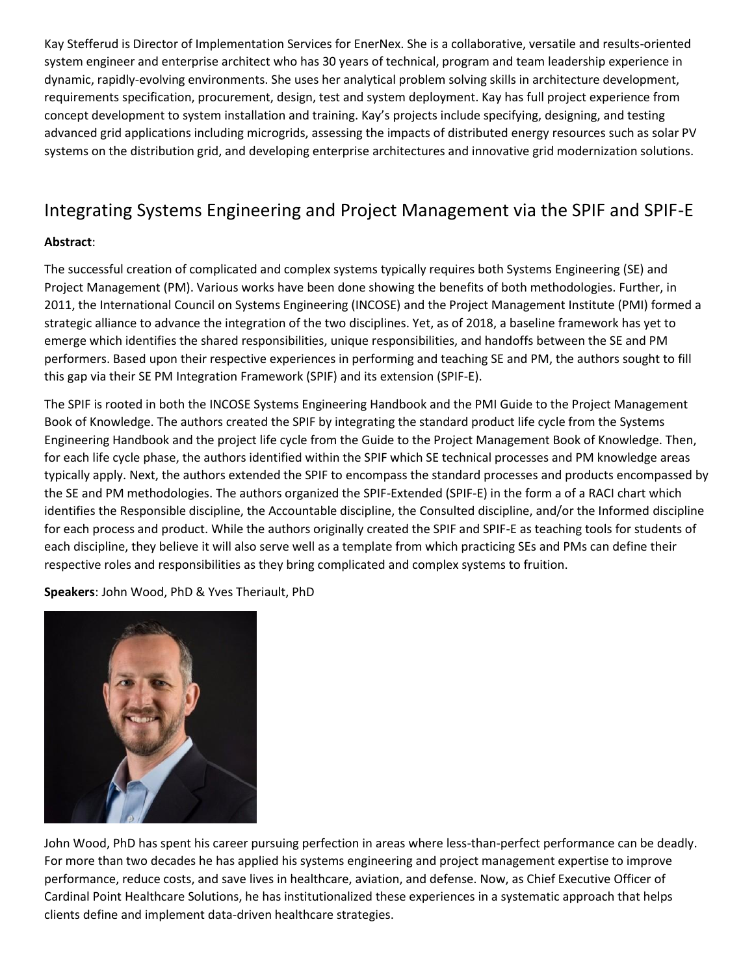Kay Stefferud is Director of Implementation Services for EnerNex. She is a collaborative, versatile and results-oriented system engineer and enterprise architect who has 30 years of technical, program and team leadership experience in dynamic, rapidly-evolving environments. She uses her analytical problem solving skills in architecture development, requirements specification, procurement, design, test and system deployment. Kay has full project experience from concept development to system installation and training. Kay's projects include specifying, designing, and testing advanced grid applications including microgrids, assessing the impacts of distributed energy resources such as solar PV systems on the distribution grid, and developing enterprise architectures and innovative grid modernization solutions.

### Integrating Systems Engineering and Project Management via the SPIF and SPIF-E

### **Abstract**:

The successful creation of complicated and complex systems typically requires both Systems Engineering (SE) and Project Management (PM). Various works have been done showing the benefits of both methodologies. Further, in 2011, the International Council on Systems Engineering (INCOSE) and the Project Management Institute (PMI) formed a strategic alliance to advance the integration of the two disciplines. Yet, as of 2018, a baseline framework has yet to emerge which identifies the shared responsibilities, unique responsibilities, and handoffs between the SE and PM performers. Based upon their respective experiences in performing and teaching SE and PM, the authors sought to fill this gap via their SE PM Integration Framework (SPIF) and its extension (SPIF-E).

The SPIF is rooted in both the INCOSE Systems Engineering Handbook and the PMI Guide to the Project Management Book of Knowledge. The authors created the SPIF by integrating the standard product life cycle from the Systems Engineering Handbook and the project life cycle from the Guide to the Project Management Book of Knowledge. Then, for each life cycle phase, the authors identified within the SPIF which SE technical processes and PM knowledge areas typically apply. Next, the authors extended the SPIF to encompass the standard processes and products encompassed by the SE and PM methodologies. The authors organized the SPIF-Extended (SPIF-E) in the form a of a RACI chart which identifies the Responsible discipline, the Accountable discipline, the Consulted discipline, and/or the Informed discipline for each process and product. While the authors originally created the SPIF and SPIF-E as teaching tools for students of each discipline, they believe it will also serve well as a template from which practicing SEs and PMs can define their respective roles and responsibilities as they bring complicated and complex systems to fruition.

**Speakers**: John Wood, PhD & Yves Theriault, PhD



John Wood, PhD has spent his career pursuing perfection in areas where less-than-perfect performance can be deadly. For more than two decades he has applied his systems engineering and project management expertise to improve performance, reduce costs, and save lives in healthcare, aviation, and defense. Now, as Chief Executive Officer of Cardinal Point Healthcare Solutions, he has institutionalized these experiences in a systematic approach that helps clients define and implement data-driven healthcare strategies.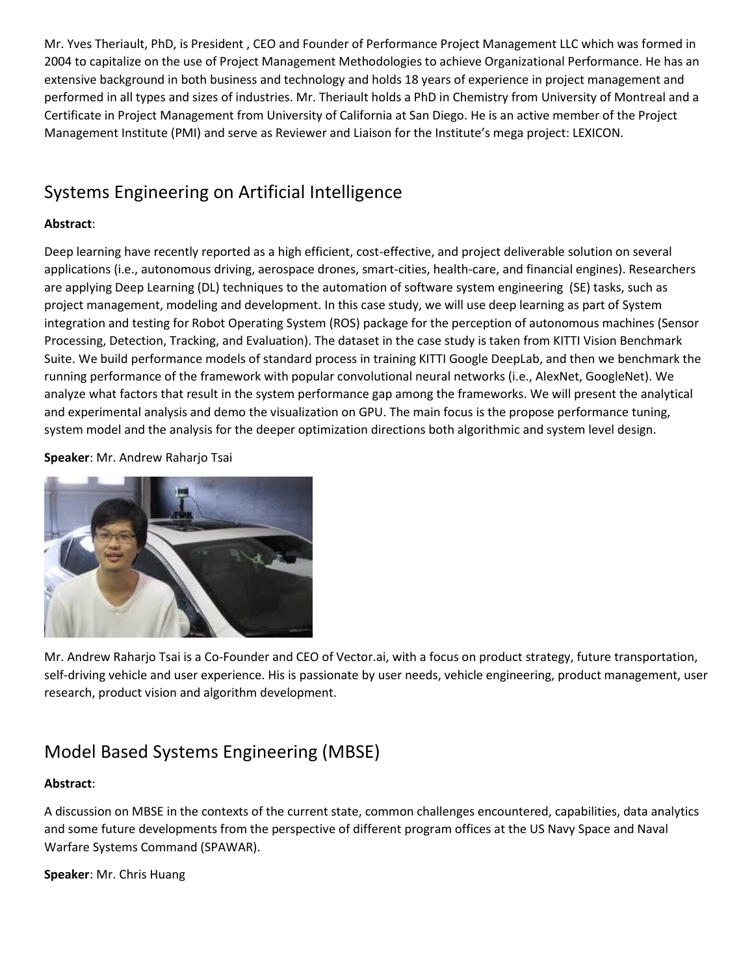Mr. Yves Theriault, PhD, is President , CEO and Founder of Performance Project Management LLC which was formed in 2004 to capitalize on the use of Project Management Methodologies to achieve Organizational Performance. He has an extensive background in both business and technology and holds 18 years of experience in project management and performed in all types and sizes of industries. Mr. Theriault holds a PhD in Chemistry from University of Montreal and a Certificate in Project Management from University of California at San Diego. He is an active member of the Project Management Institute (PMI) and serve as Reviewer and Liaison for the Institute's mega project: LEXICON.

### Systems Engineering on Artificial Intelligence

### **Abstract**:

Deep learning have recently reported as a high efficient, cost-effective, and project deliverable solution on several applications (i.e., autonomous driving, aerospace drones, smart-cities, health-care, and financial engines). Researchers are applying Deep Learning (DL) techniques to the automation of software system engineering (SE) tasks, such as project management, modeling and development. In this case study, we will use deep learning as part of System integration and testing for Robot Operating System (ROS) package for the perception of autonomous machines (Sensor Processing, Detection, Tracking, and Evaluation). The dataset in the case study is taken from KITTI Vision Benchmark Suite. We build performance models of standard process in training KITTI Google DeepLab, and then we benchmark the running performance of the framework with popular convolutional neural networks (i.e., AlexNet, GoogleNet). We analyze what factors that result in the system performance gap among the frameworks. We will present the analytical and experimental analysis and demo the visualization on GPU. The main focus is the propose performance tuning, system model and the analysis for the deeper optimization directions both algorithmic and system level design.

**Speaker**: Mr. Andrew Raharjo Tsai



Mr. Andrew Raharjo Tsai is a Co-Founder and CEO of Vector.ai, with a focus on product strategy, future transportation, self-driving vehicle and user experience. His is passionate by user needs, vehicle engineering, product management, user research, product vision and algorithm development.

### Model Based Systems Engineering (MBSE)

### **Abstract**:

A discussion on MBSE in the contexts of the current state, common challenges encountered, capabilities, data analytics and some future developments from the perspective of different program offices at the US Navy Space and Naval Warfare Systems Command (SPAWAR).

### **Speaker**: Mr. Chris Huang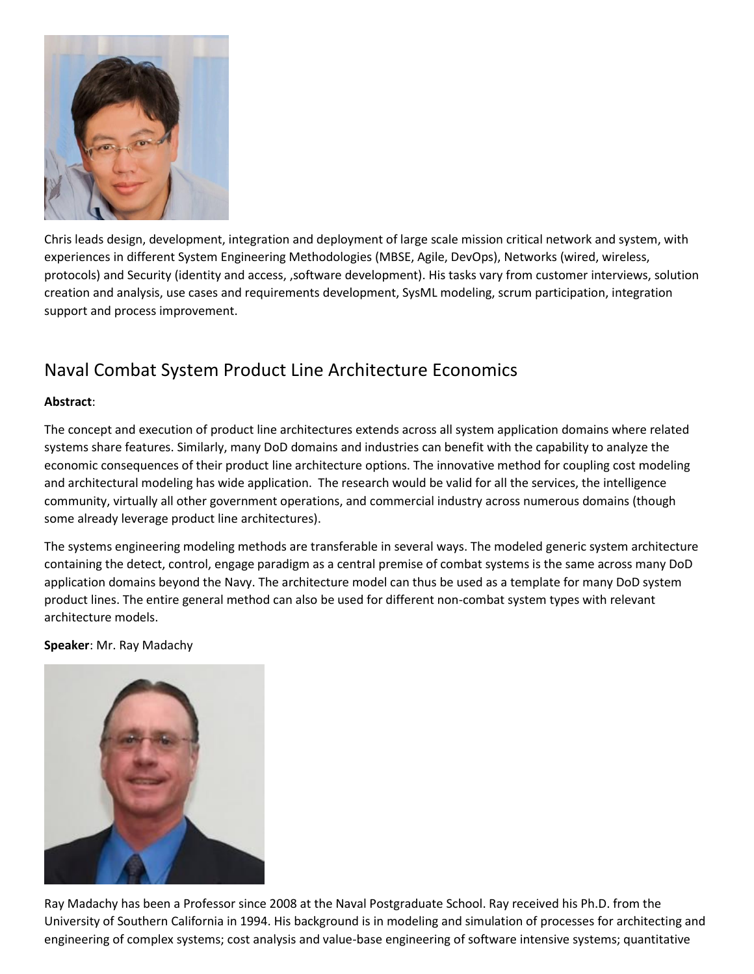

Chris leads design, development, integration and deployment of large scale mission critical network and system, with experiences in different System Engineering Methodologies (MBSE, Agile, DevOps), Networks (wired, wireless, protocols) and Security (identity and access, ,software development). His tasks vary from customer interviews, solution creation and analysis, use cases and requirements development, SysML modeling, scrum participation, integration support and process improvement.

### Naval Combat System Product Line Architecture Economics

### **Abstract**:

The concept and execution of product line architectures extends across all system application domains where related systems share features. Similarly, many DoD domains and industries can benefit with the capability to analyze the economic consequences of their product line architecture options. The innovative method for coupling cost modeling and architectural modeling has wide application. The research would be valid for all the services, the intelligence community, virtually all other government operations, and commercial industry across numerous domains (though some already leverage product line architectures).

The systems engineering modeling methods are transferable in several ways. The modeled generic system architecture containing the detect, control, engage paradigm as a central premise of combat systems is the same across many DoD application domains beyond the Navy. The architecture model can thus be used as a template for many DoD system product lines. The entire general method can also be used for different non-combat system types with relevant architecture models.

#### **Speaker**: Mr. Ray Madachy



Ray Madachy has been a Professor since 2008 at the Naval Postgraduate School. Ray received his Ph.D. from the University of Southern California in 1994. His background is in modeling and simulation of processes for architecting and engineering of complex systems; cost analysis and value-base engineering of software intensive systems; quantitative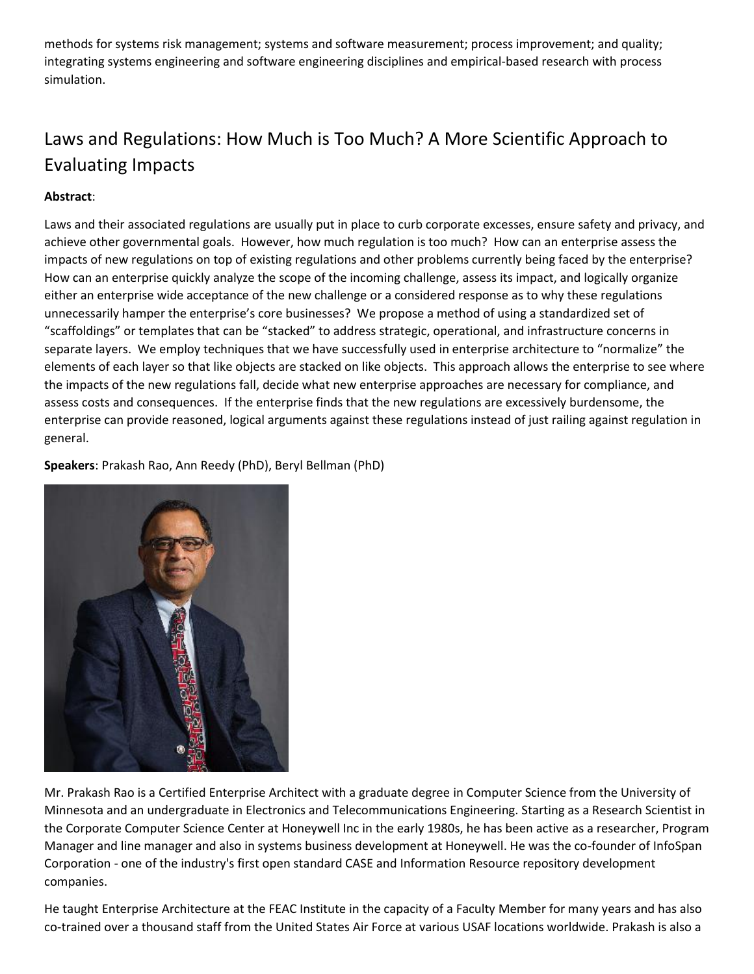methods for systems risk management; systems and software measurement; process improvement; and quality; integrating systems engineering and software engineering disciplines and empirical-based research with process simulation.

# Laws and Regulations: How Much is Too Much? A More Scientific Approach to Evaluating Impacts

### **Abstract**:

Laws and their associated regulations are usually put in place to curb corporate excesses, ensure safety and privacy, and achieve other governmental goals. However, how much regulation is too much? How can an enterprise assess the impacts of new regulations on top of existing regulations and other problems currently being faced by the enterprise? How can an enterprise quickly analyze the scope of the incoming challenge, assess its impact, and logically organize either an enterprise wide acceptance of the new challenge or a considered response as to why these regulations unnecessarily hamper the enterprise's core businesses? We propose a method of using a standardized set of "scaffoldings" or templates that can be "stacked" to address strategic, operational, and infrastructure concerns in separate layers. We employ techniques that we have successfully used in enterprise architecture to "normalize" the elements of each layer so that like objects are stacked on like objects. This approach allows the enterprise to see where the impacts of the new regulations fall, decide what new enterprise approaches are necessary for compliance, and assess costs and consequences. If the enterprise finds that the new regulations are excessively burdensome, the enterprise can provide reasoned, logical arguments against these regulations instead of just railing against regulation in general.

**Speakers**: Prakash Rao, Ann Reedy (PhD), Beryl Bellman (PhD)



Mr. Prakash Rao is a Certified Enterprise Architect with a graduate degree in Computer Science from the University of Minnesota and an undergraduate in Electronics and Telecommunications Engineering. Starting as a Research Scientist in the Corporate Computer Science Center at Honeywell Inc in the early 1980s, he has been active as a researcher, Program Manager and line manager and also in systems business development at Honeywell. He was the co-founder of InfoSpan Corporation - one of the industry's first open standard CASE and Information Resource repository development companies.

He taught Enterprise Architecture at the FEAC Institute in the capacity of a Faculty Member for many years and has also co-trained over a thousand staff from the United States Air Force at various USAF locations worldwide. Prakash is also a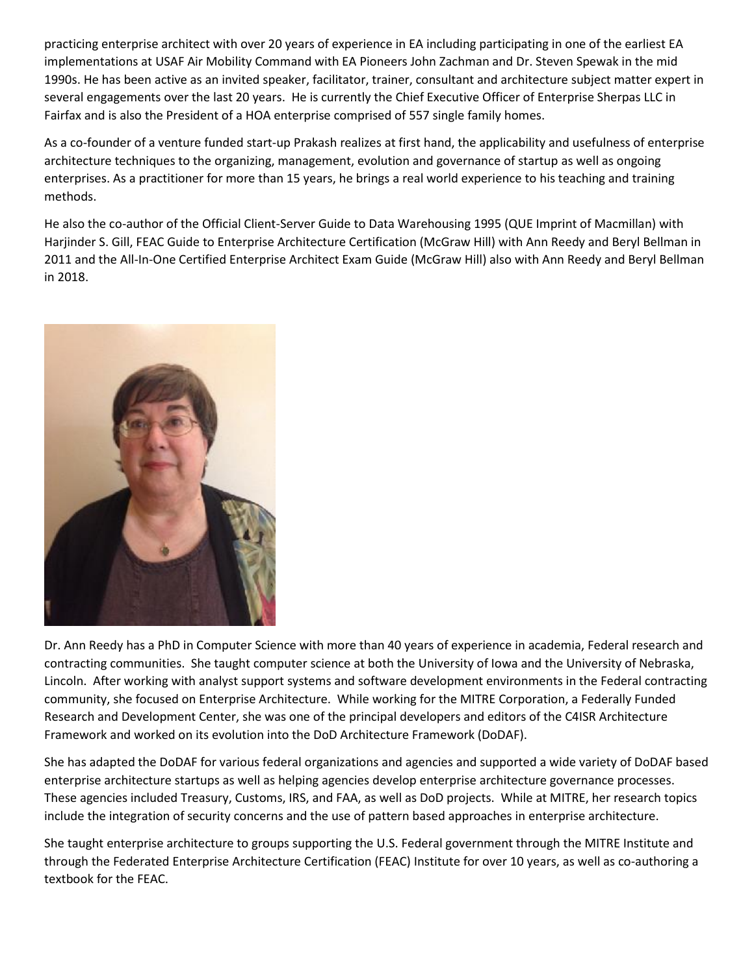practicing enterprise architect with over 20 years of experience in EA including participating in one of the earliest EA implementations at USAF Air Mobility Command with EA Pioneers John Zachman and Dr. Steven Spewak in the mid 1990s. He has been active as an invited speaker, facilitator, trainer, consultant and architecture subject matter expert in several engagements over the last 20 years. He is currently the Chief Executive Officer of Enterprise Sherpas LLC in Fairfax and is also the President of a HOA enterprise comprised of 557 single family homes.

As a co-founder of a venture funded start-up Prakash realizes at first hand, the applicability and usefulness of enterprise architecture techniques to the organizing, management, evolution and governance of startup as well as ongoing enterprises. As a practitioner for more than 15 years, he brings a real world experience to his teaching and training methods.

He also the co-author of the Official Client-Server Guide to Data Warehousing 1995 (QUE Imprint of Macmillan) with Harjinder S. Gill, FEAC Guide to Enterprise Architecture Certification (McGraw Hill) with Ann Reedy and Beryl Bellman in 2011 and the All-In-One Certified Enterprise Architect Exam Guide (McGraw Hill) also with Ann Reedy and Beryl Bellman in 2018.



Dr. Ann Reedy has a PhD in Computer Science with more than 40 years of experience in academia, Federal research and contracting communities. She taught computer science at both the University of Iowa and the University of Nebraska, Lincoln. After working with analyst support systems and software development environments in the Federal contracting community, she focused on Enterprise Architecture. While working for the MITRE Corporation, a Federally Funded Research and Development Center, she was one of the principal developers and editors of the C4ISR Architecture Framework and worked on its evolution into the DoD Architecture Framework (DoDAF).

She has adapted the DoDAF for various federal organizations and agencies and supported a wide variety of DoDAF based enterprise architecture startups as well as helping agencies develop enterprise architecture governance processes. These agencies included Treasury, Customs, IRS, and FAA, as well as DoD projects. While at MITRE, her research topics include the integration of security concerns and the use of pattern based approaches in enterprise architecture.

She taught enterprise architecture to groups supporting the U.S. Federal government through the MITRE Institute and through the Federated Enterprise Architecture Certification (FEAC) Institute for over 10 years, as well as co-authoring a textbook for the FEAC.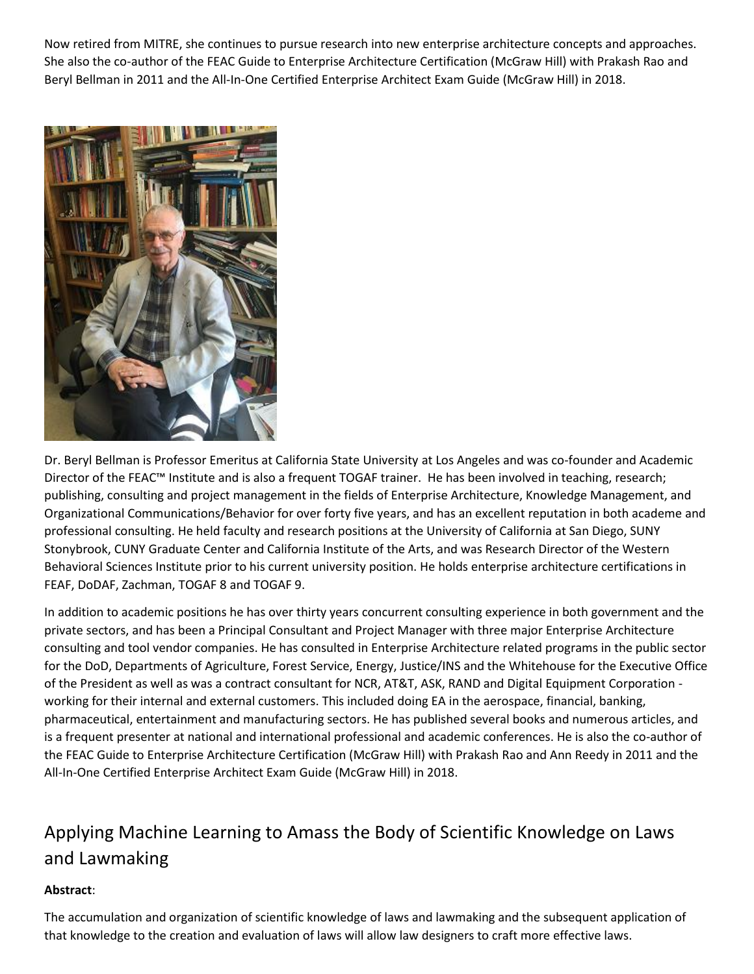Now retired from MITRE, she continues to pursue research into new enterprise architecture concepts and approaches. She also the co-author of the FEAC Guide to Enterprise Architecture Certification (McGraw Hill) with Prakash Rao and Beryl Bellman in 2011 and the All-In-One Certified Enterprise Architect Exam Guide (McGraw Hill) in 2018.



Dr. Beryl Bellman is Professor Emeritus at California State University at Los Angeles and was co-founder and Academic Director of the FEAC™ Institute and is also a frequent TOGAF trainer. He has been involved in teaching, research; publishing, consulting and project management in the fields of Enterprise Architecture, Knowledge Management, and Organizational Communications/Behavior for over forty five years, and has an excellent reputation in both academe and professional consulting. He held faculty and research positions at the University of California at San Diego, SUNY Stonybrook, CUNY Graduate Center and California Institute of the Arts, and was Research Director of the Western Behavioral Sciences Institute prior to his current university position. He holds enterprise architecture certifications in FEAF, DoDAF, Zachman, TOGAF 8 and TOGAF 9.

In addition to academic positions he has over thirty years concurrent consulting experience in both government and the private sectors, and has been a Principal Consultant and Project Manager with three major Enterprise Architecture consulting and tool vendor companies. He has consulted in Enterprise Architecture related programs in the public sector for the DoD, Departments of Agriculture, Forest Service, Energy, Justice/INS and the Whitehouse for the Executive Office of the President as well as was a contract consultant for NCR, AT&T, ASK, RAND and Digital Equipment Corporation working for their internal and external customers. This included doing EA in the aerospace, financial, banking, pharmaceutical, entertainment and manufacturing sectors. He has published several books and numerous articles, and is a frequent presenter at national and international professional and academic conferences. He is also the co-author of the FEAC Guide to Enterprise Architecture Certification (McGraw Hill) with Prakash Rao and Ann Reedy in 2011 and the All-In-One Certified Enterprise Architect Exam Guide (McGraw Hill) in 2018.

# Applying Machine Learning to Amass the Body of Scientific Knowledge on Laws and Lawmaking

### **Abstract**:

The accumulation and organization of scientific knowledge of laws and lawmaking and the subsequent application of that knowledge to the creation and evaluation of laws will allow law designers to craft more effective laws.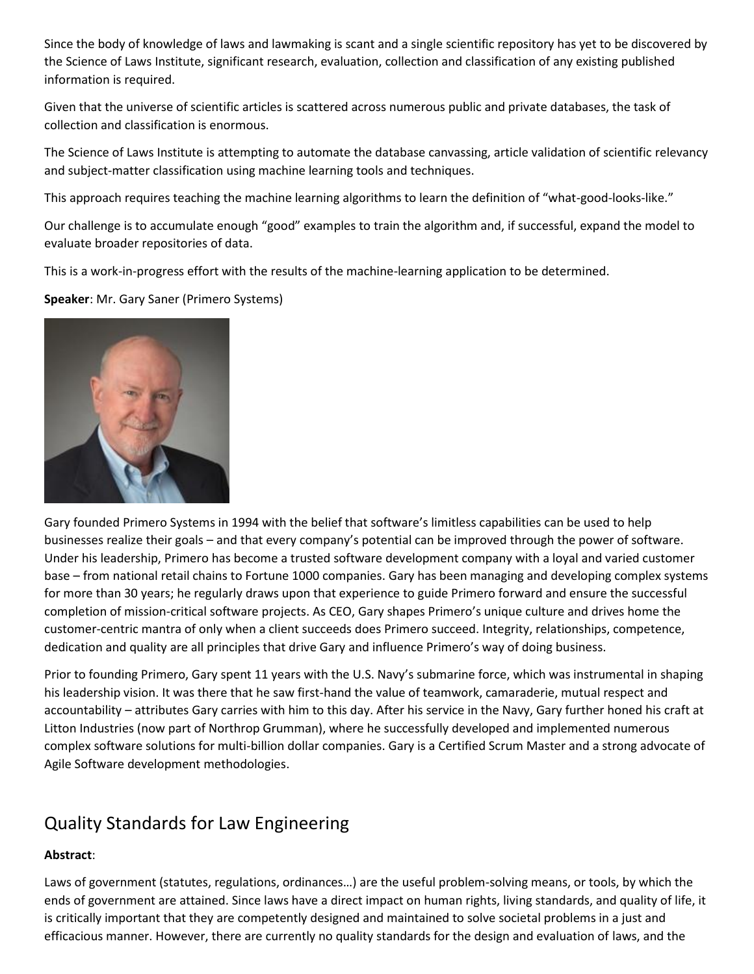Since the body of knowledge of laws and lawmaking is scant and a single scientific repository has yet to be discovered by the Science of Laws Institute, significant research, evaluation, collection and classification of any existing published information is required.

Given that the universe of scientific articles is scattered across numerous public and private databases, the task of collection and classification is enormous.

The Science of Laws Institute is attempting to automate the database canvassing, article validation of scientific relevancy and subject-matter classification using machine learning tools and techniques.

This approach requires teaching the machine learning algorithms to learn the definition of "what-good-looks-like."

Our challenge is to accumulate enough "good" examples to train the algorithm and, if successful, expand the model to evaluate broader repositories of data.

This is a work-in-progress effort with the results of the machine-learning application to be determined.

**Speaker**: Mr. Gary Saner (Primero Systems)



Gary founded Primero Systems in 1994 with the belief that software's limitless capabilities can be used to help businesses realize their goals – and that every company's potential can be improved through the power of software. Under his leadership, Primero has become a trusted software development company with a loyal and varied customer base – from national retail chains to Fortune 1000 companies. Gary has been managing and developing complex systems for more than 30 years; he regularly draws upon that experience to guide Primero forward and ensure the successful completion of mission-critical software projects. As CEO, Gary shapes Primero's unique culture and drives home the customer-centric mantra of only when a client succeeds does Primero succeed. Integrity, relationships, competence, dedication and quality are all principles that drive Gary and influence Primero's way of doing business.

Prior to founding Primero, Gary spent 11 years with the U.S. Navy's submarine force, which was instrumental in shaping his leadership vision. It was there that he saw first-hand the value of teamwork, camaraderie, mutual respect and accountability – attributes Gary carries with him to this day. After his service in the Navy, Gary further honed his craft at Litton Industries (now part of Northrop Grumman), where he successfully developed and implemented numerous complex software solutions for multi-billion dollar companies. Gary is a Certified Scrum Master and a strong advocate of Agile Software development methodologies.

### Quality Standards for Law Engineering

### **Abstract**:

Laws of government (statutes, regulations, ordinances…) are the useful problem-solving means, or tools, by which the ends of government are attained. Since laws have a direct impact on human rights, living standards, and quality of life, it is critically important that they are competently designed and maintained to solve societal problems in a just and efficacious manner. However, there are currently no quality standards for the design and evaluation of laws, and the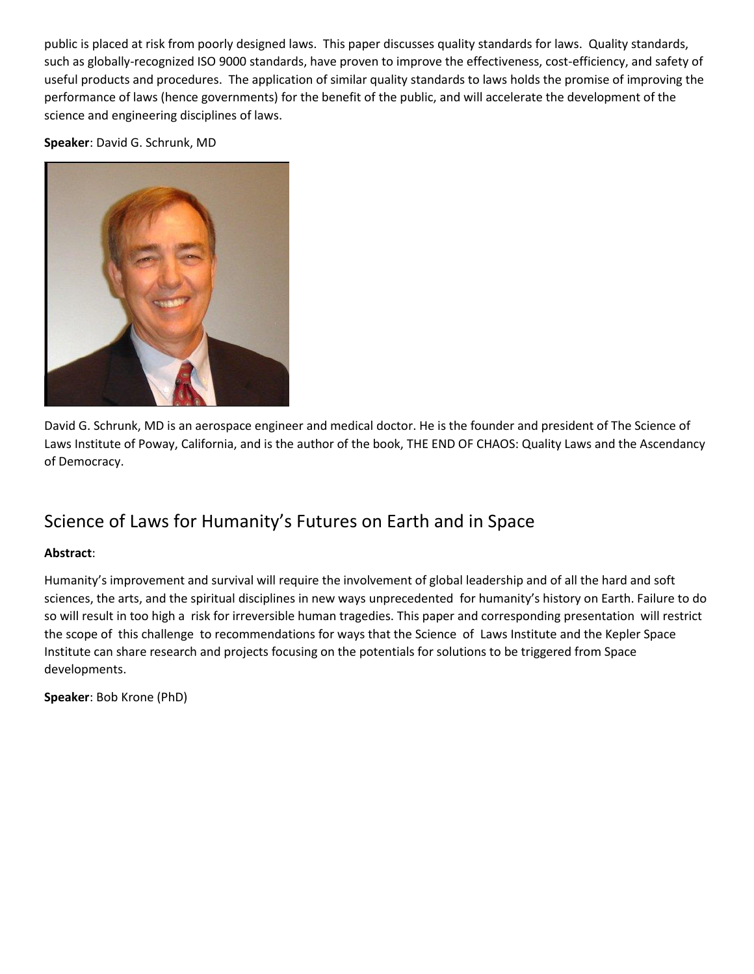public is placed at risk from poorly designed laws. This paper discusses quality standards for laws. Quality standards, such as globally-recognized ISO 9000 standards, have proven to improve the effectiveness, cost-efficiency, and safety of useful products and procedures. The application of similar quality standards to laws holds the promise of improving the performance of laws (hence governments) for the benefit of the public, and will accelerate the development of the science and engineering disciplines of laws.

**Speaker**: David G. Schrunk, MD



David G. Schrunk, MD is an aerospace engineer and medical doctor. He is the founder and president of The Science of Laws Institute of Poway, California, and is the author of the book, THE END OF CHAOS: Quality Laws and the Ascendancy of Democracy.

### Science of Laws for Humanity's Futures on Earth and in Space

### **Abstract**:

Humanity's improvement and survival will require the involvement of global leadership and of all the hard and soft sciences, the arts, and the spiritual disciplines in new ways unprecedented for humanity's history on Earth. Failure to do so will result in too high a risk for irreversible human tragedies. This paper and corresponding presentation will restrict the scope of this challenge to recommendations for ways that the Science of Laws Institute and the Kepler Space Institute can share research and projects focusing on the potentials for solutions to be triggered from Space developments.

**Speaker**: Bob Krone (PhD)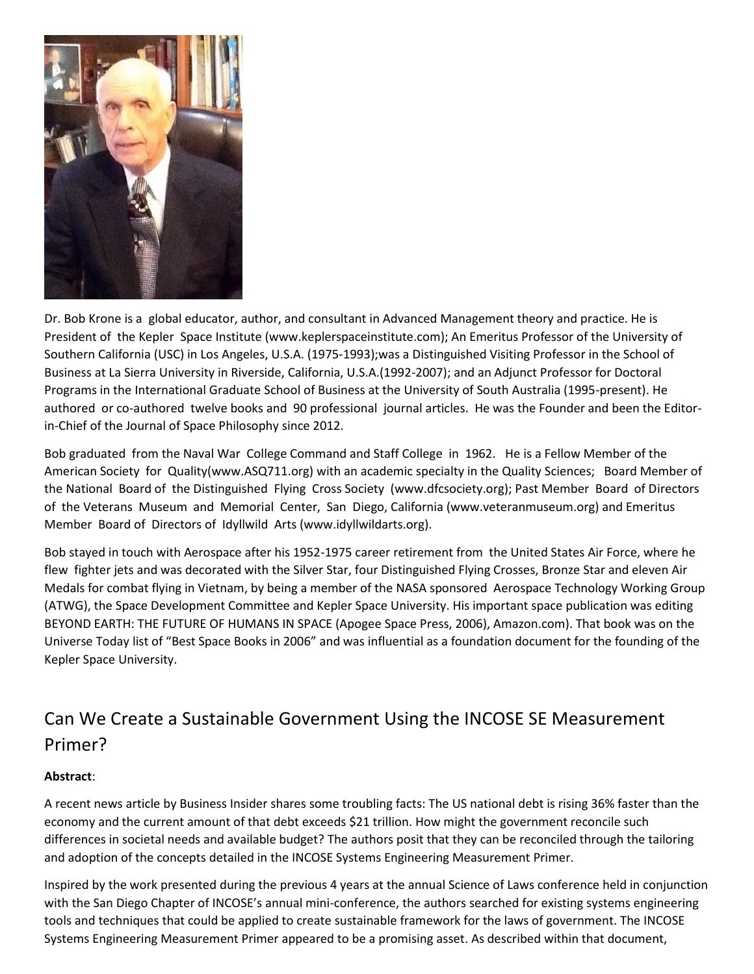

Dr. Bob Krone is a global educator, author, and consultant in Advanced Management theory and practice. He is President of the Kepler Space Institute (www.keplerspaceinstitute.com); An Emeritus Professor of the University of Southern California (USC) in Los Angeles, U.S.A. (1975-1993);was a Distinguished Visiting Professor in the School of Business at La Sierra University in Riverside, California, U.S.A.(1992-2007); and an Adjunct Professor for Doctoral Programs in the International Graduate School of Business at the University of South Australia (1995-present). He authored or co-authored twelve books and 90 professional journal articles. He was the Founder and been the Editorin-Chief of the Journal of Space Philosophy since 2012.

Bob graduated from the Naval War College Command and Staff College in 1962. He is a Fellow Member of the American Society for Quality(www.ASQ711.org) with an academic specialty in the Quality Sciences; Board Member of the National Board of the Distinguished Flying Cross Society (www.dfcsociety.org); Past Member Board of Directors of the Veterans Museum and Memorial Center, San Diego, California (www.veteranmuseum.org) and Emeritus Member Board of Directors of Idyllwild Arts (www.idyllwildarts.org).

Bob stayed in touch with Aerospace after his 1952-1975 career retirement from the United States Air Force, where he flew fighter jets and was decorated with the Silver Star, four Distinguished Flying Crosses, Bronze Star and eleven Air Medals for combat flying in Vietnam, by being a member of the NASA sponsored Aerospace Technology Working Group (ATWG), the Space Development Committee and Kepler Space University. His important space publication was editing BEYOND EARTH: THE FUTURE OF HUMANS IN SPACE (Apogee Space Press, 2006), Amazon.com). That book was on the Universe Today list of "Best Space Books in 2006" and was influential as a foundation document for the founding of the Kepler Space University.

# Can We Create a Sustainable Government Using the INCOSE SE Measurement Primer?

### **Abstract**:

A recent news article by Business Insider shares some troubling facts: The US national debt is rising 36% faster than the economy and the current amount of that debt exceeds \$21 trillion. How might the government reconcile such differences in societal needs and available budget? The authors posit that they can be reconciled through the tailoring and adoption of the concepts detailed in the INCOSE Systems Engineering Measurement Primer.

Inspired by the work presented during the previous 4 years at the annual Science of Laws conference held in conjunction with the San Diego Chapter of INCOSE's annual mini-conference, the authors searched for existing systems engineering tools and techniques that could be applied to create sustainable framework for the laws of government. The INCOSE Systems Engineering Measurement Primer appeared to be a promising asset. As described within that document,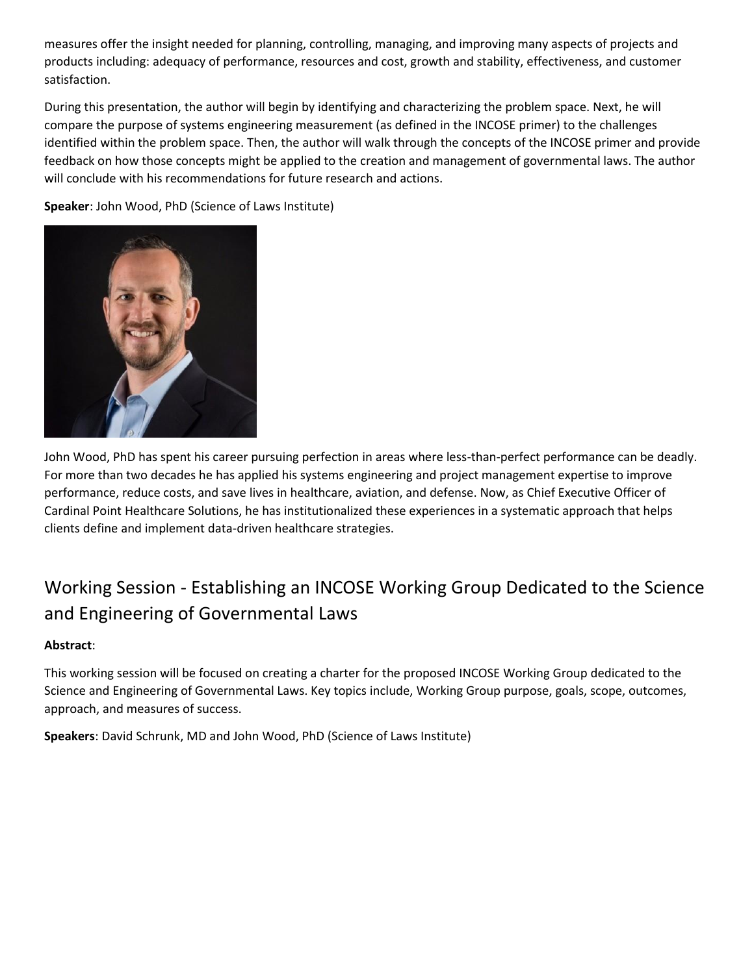measures offer the insight needed for planning, controlling, managing, and improving many aspects of projects and products including: adequacy of performance, resources and cost, growth and stability, effectiveness, and customer satisfaction.

During this presentation, the author will begin by identifying and characterizing the problem space. Next, he will compare the purpose of systems engineering measurement (as defined in the INCOSE primer) to the challenges identified within the problem space. Then, the author will walk through the concepts of the INCOSE primer and provide feedback on how those concepts might be applied to the creation and management of governmental laws. The author will conclude with his recommendations for future research and actions.

**Speaker**: John Wood, PhD (Science of Laws Institute)



John Wood, PhD has spent his career pursuing perfection in areas where less-than-perfect performance can be deadly. For more than two decades he has applied his systems engineering and project management expertise to improve performance, reduce costs, and save lives in healthcare, aviation, and defense. Now, as Chief Executive Officer of Cardinal Point Healthcare Solutions, he has institutionalized these experiences in a systematic approach that helps clients define and implement data-driven healthcare strategies.

# Working Session - Establishing an INCOSE Working Group Dedicated to the Science and Engineering of Governmental Laws

### **Abstract**:

This working session will be focused on creating a charter for the proposed INCOSE Working Group dedicated to the Science and Engineering of Governmental Laws. Key topics include, Working Group purpose, goals, scope, outcomes, approach, and measures of success.

**Speakers**: David Schrunk, MD and John Wood, PhD (Science of Laws Institute)